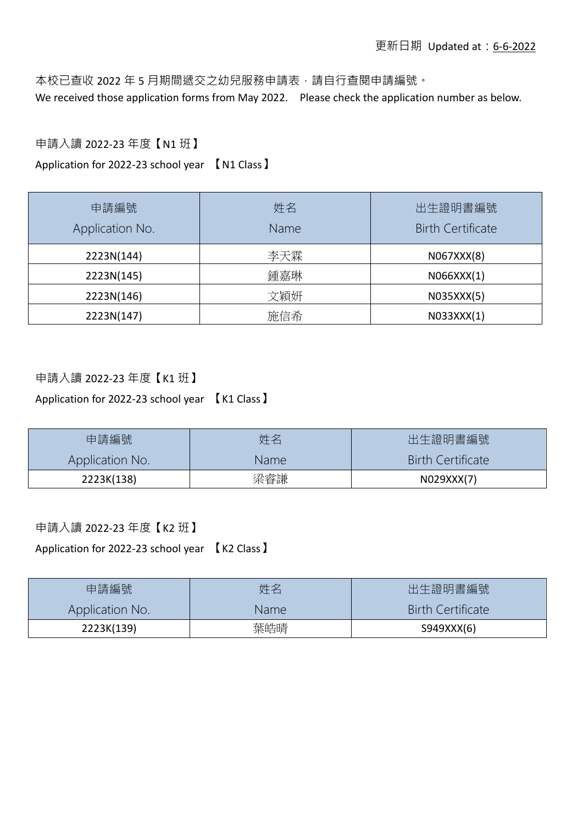本校已查收 2022 年 5 月期間遞交之幼兒服務申請表,請自行查閱申請編號。 We received those application forms from May 2022. Please check the application number as below.

## 申請入讀 2022-23 年度【N1 班】

Application for 2022-23 school year 【N1 Class】

| 申請編號<br>Application No. | 姓名<br>Name | 出生證明書編號<br><b>Birth Certificate</b> |
|-------------------------|------------|-------------------------------------|
| 2223N(144)              | 李天霖        | N067XXX(8)                          |
| 2223N(145)              | 鍾嘉琳        | N066XXX(1)                          |
| 2223N(146)              | 文穎妍        | N035XXX(5)                          |
| 2223N(147)              | 施信希        | N033XXX(1)                          |

## 申請入讀 2022-23 年度【K1 班】

Application for 2022-23 school year 【K1 Class】

| 申請編號            | 姓名    | 出生證明書編號                  |
|-----------------|-------|--------------------------|
| Application No. | Name: | <b>Birth Certificate</b> |
| 2223K(138)      | 梁睿謙   | N029XXX(7)               |

申請入讀 2022-23 年度【K2 班】

Application for 2022-23 school year 【K2 Class】

| 申請編號            | 姓名   | 出生證明書編號                  |
|-----------------|------|--------------------------|
| Application No. | Name | <b>Birth Certificate</b> |
| 2223K(139)      | 葉皓晴  | S949XXX(6)               |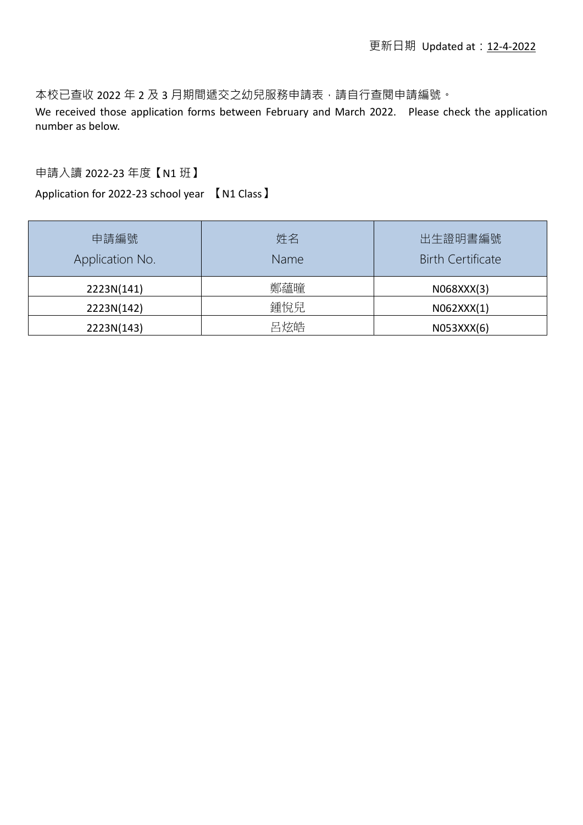本校已查收 2022 年 2 及 3 月期間遞交之幼兒服務申請表,請自行查閱申請編號。

We received those application forms between February and March 2022. Please check the application number as below.

## 申請入讀 2022-23 年度【N1 班】

Application for 2022-23 school year 【N1 Class】

| 申請編號<br>Application No. | 姓名<br>Name | 出生證明書編號<br><b>Birth Certificate</b> |
|-------------------------|------------|-------------------------------------|
| 2223N(141)              | 鄭蘊曈        | N068XXX(3)                          |
| 2223N(142)              | 鍾悅兒        | N062XXX(1)                          |
| 2223N(143)              | 呂炫皓        | N053XXX(6)                          |